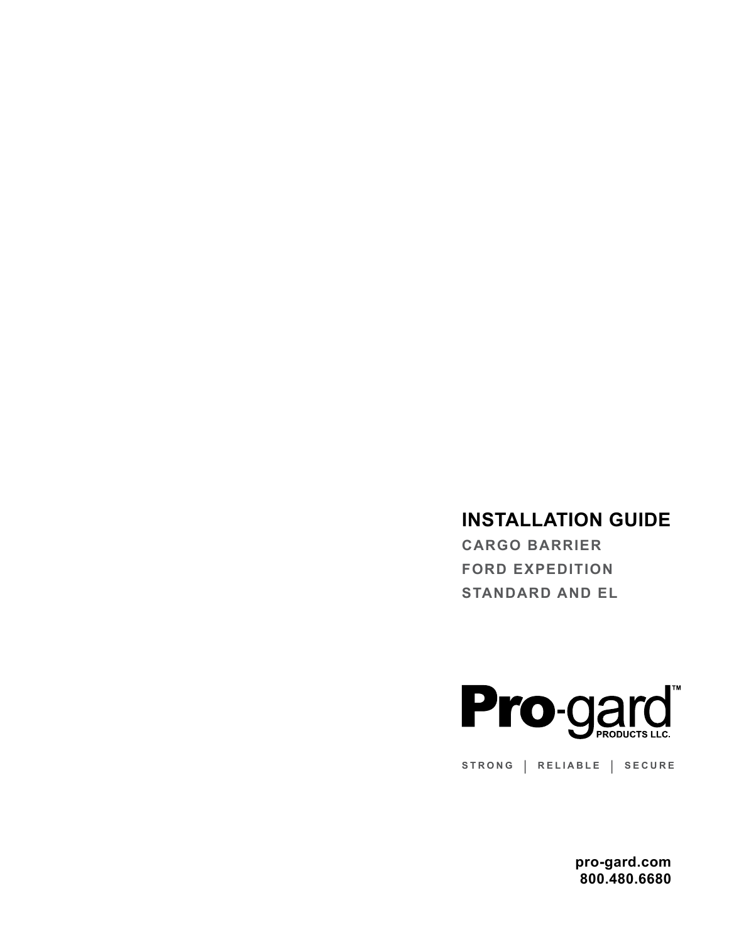## **INSTALLATION GUIDE**

**CARGO BARRIER FORD EXPEDITION STANDARD AND EL** 



STRONG | RELIABLE | SECURE

pro-gard.com 800.480.6680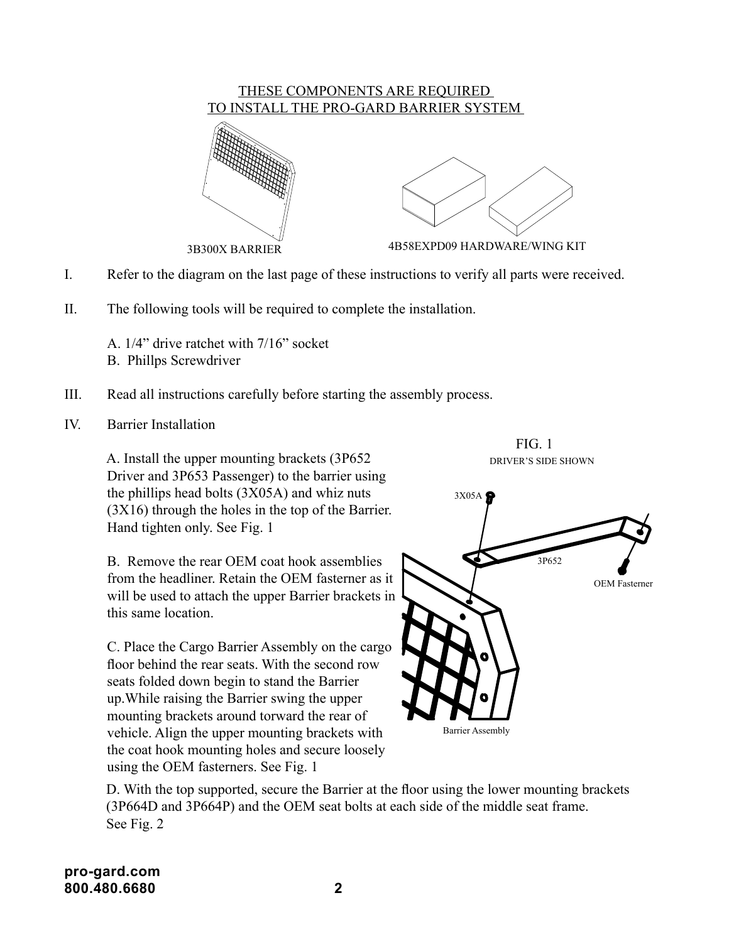

- I. Refer to the diagram on the last page of these instructions to verify all parts were received.
- II. The following tools will be required to complete the installation.
	- A. 1/4" drive ratchet with 7/16" socket
	- B. Phillps Screwdriver
- III. Read all instructions carefully before starting the assembly process.
- IV. Barrier Installation

 A. Install the upper mounting brackets (3P652 Driver and 3P653 Passenger) to the barrier using the phillips head bolts (3X05A) and whiz nuts (3X16) through the holes in the top of the Barrier. Hand tighten only. See Fig. 1

B. Remove the rear OEM coat hook assemblies from the headliner. Retain the OEM fasterner as it will be used to attach the upper Barrier brackets in this same location.

C. Place the Cargo Barrier Assembly on the cargo floor behind the rear seats. With the second row seats folded down begin to stand the Barrier up.While raising the Barrier swing the upper mounting brackets around torward the rear of vehicle. Align the upper mounting brackets with the coat hook mounting holes and secure loosely using the OEM fasterners. See Fig. 1

DRIVER'S SIDE SHOWN 3P652 OEM Fasterner 3X05A Barrier Assembly

FIG. 1

D. With the top supported, secure the Barrier at the floor using the lower mounting brackets (3P664D and 3P664P) and the OEM seat bolts at each side of the middle seat frame. See Fig. 2

**pro-gard.com 800.480.6680 2**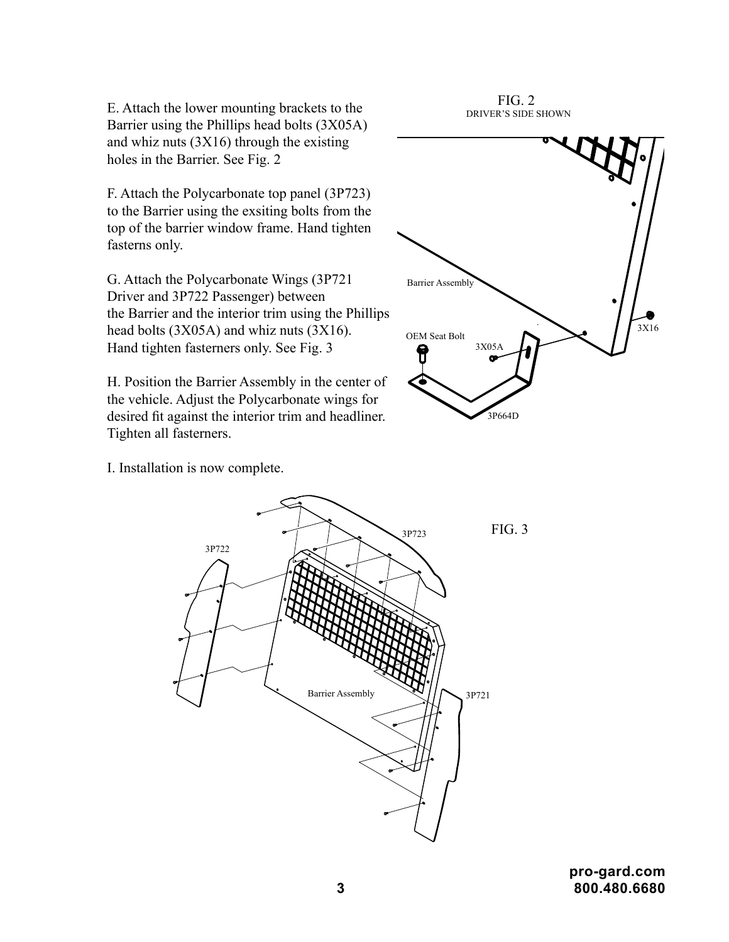E. Attach the lower mounting brackets to the Barrier using the Phillips head bolts (3X05A) and whiz nuts (3X16) through the existing holes in the Barrier. See Fig. 2

F. Attach the Polycarbonate top panel (3P723) to the Barrier using the exsiting bolts from the top of the barrier window frame. Hand tighten fasterns only.

G. Attach the Polycarbonate Wings (3P721 Driver and 3P722 Passenger) between the Barrier and the interior trim using the Phillips head bolts (3X05A) and whiz nuts (3X16). Hand tighten fasterners only. See Fig. 3

H. Position the Barrier Assembly in the center of the vehicle. Adjust the Polycarbonate wings for desired fit against the interior trim and headliner. Tighten all fasterners.



FIG. 2 DRIVER'S SIDE SHOWN

I. Installation is now complete.